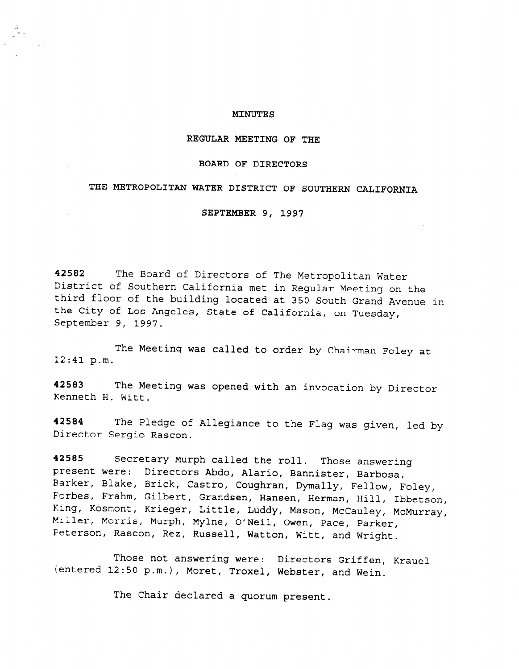### MINUTES

## REGULAR MEETING OF THE

### BOARD OF DIRECTORS

## THE METROPOLITAN WATER DISTRICT OF SOUTHERN CALIFORNIA

SEPTEMBER 9, 1997

42582 The Board of Directors of The Metropolitan Water District of Southern California met in Regular Meeting on the third floor of the building located at 350 South Grand Avenue in the City of Los Angeles, State of California, on Tuesday, September 9, 1997.

The Meeting was called to order by Chairman Foley at 12:41 p.m.

42583 The Meeting was opened with an invocation by Director Kenneth H. Witt.

42584 The Pledge of Allegiance to the Flag was given, led by Director Sergio Rascon.

42585 Secretary Murph called the roll. Those answering present were: Directors Abdo, Alario, Bannister, Barbosa, .<br>Barker, Blake, Brick, Castro, Coughran, Dymally, Fellow, Foley Forbes, Frahm, Gilbert, Grandsen, Hansen, Herman, Hill, Thhot, King, Kosmont, Krieger, Little, Luddy, Mason, McCauley, McMurray Miiler, Morris, Murph, Mylne, O'Neil, Owen, Pace, Parker Peterson, Rascon, Rez, Russell, Watton, Witt, and Wright.

Those not answering were: Directors Griffen, Krauel (entered 12:50 p.m.), Moret, Troxel, Webster, and Wein.

The Chair declared a quorum present.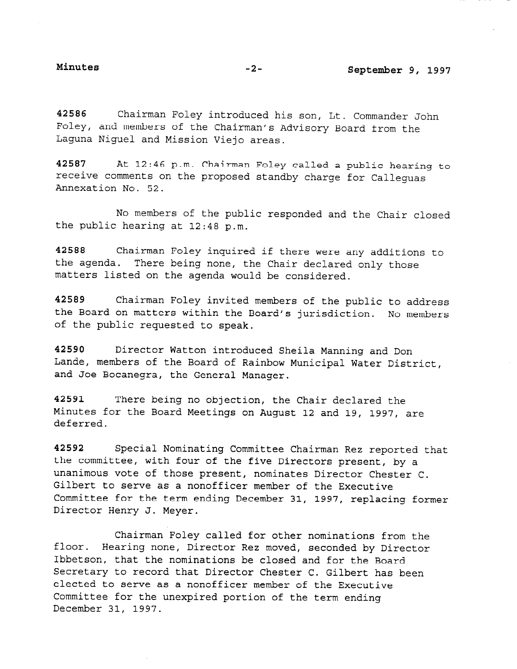42586 Chairman Foley introduced his son, Lt. Commander John Foley, and members of the Chairman's Advisory Board from the Laguna Niguel and Mission Viejo areas.

42587 At 12:46 p.m. Chairman Foley called a public hearing to receive comments on the proposed standby charge for Calleguas Annexation No. 52.

No members of the public responded and the Chair closed the public hearing at 12:48 p.m.

42588 Chairman Foley inquired if there were any additions to the agenda. There being none, the Chair declared only those matters listed on the agenda would be considered.

42589 Chairman Foley invited members of the public to address the Board on matters within the Board's jurisdiction. No members of the public requested to speak.

42590 Director Watton introduced Sheila Manning and Don Lande, members of the Board of Rainbow Municipal Water District, and Joe Bocanegra, the General Manager.

42591 There being no objection, the Chair declared the Minutes for the Board Meetings on August 12 and 19, 1997, are deferred.

42592 Special Nominating Committee Chairman Rez reported that the committee, with four of the five Directors present, by a unanimous vote of those present, nominates Director Chester C. Gilbert to serve as a nonofficer member of the Executive Committee for the term ending December 31, 1997, replacing former Director Henry J. Meyer.

Chairman Foley called for other nominations from the floor. Hearing none, Director Rez moved, seconded by Director Ibbets hearing hone, birected and moved, seconded by bire secretary that the nominations be closed and for the Board Secretary to record that Director Chester C. Gilbert has been<br>elected to serve as a nonofficer member of the Executive Committee for the unexpired portion of the term ending December 31, 1997.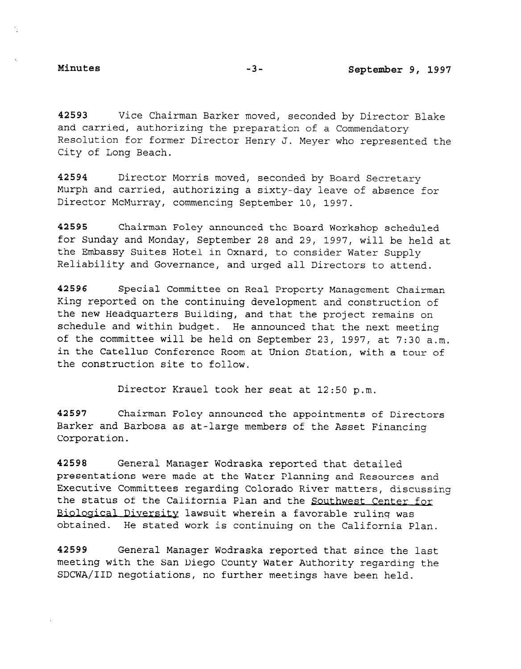42593 Vice Chairman Barker moved, seconded by Director Blake and carried, authorizing the preparation of a Commendatory Resolution for former Director Henry J. Meyer who represented the City of Long Beach.

42594 Director Morris moved, seconded by Board Secretary Murph and carried, authorizing a sixty-day leave of absence for Director McMurray, commencing September 10, 1997.

42595 Chairman Foley announced the Board Workshop scheduled for Sunday and Monday, September 28 and 29, 1997, will be held at the Embassy Suites Hotel in Oxnard, to consider Water Supply Reliability and Governance, and urged all Directors to attend.

42596 Special Committee on Real Property Management Chairman King reported on the continuing development and construction of the new Headquarters Building, and that the projecture of the projection of schedule and within budget and with the next medicing of the next medicing of schedule and within budget. He announced that the next meeting of the committee will be held on September 23, 1997, at 7:30 a.m. in the Catellus Conference Room at Union Station, with a tour of the construction site to follow.

Director Krauel took her seat at 12:50 p.m.

42597 Chairman Foley announced the appointments of Dire Barker and Barbosa as at-large members of the Asset Financing Corporation.

42598 General Manager Wodraska reported that detailed presentations were made at the Water Planning and Resources and Executive Committees regarding Colorado River matters, discussing the status of the California Plan and the Southwest Center for Biological Diversity lawsuit wherein a favorable ruling was obtained. He stated work is continuing on the California Plan.

42599 General Manager Wodraska reported that since the last meeting with the San Diego County Water Authority regarding the SDCWA/IID negotiations, no further meetings have been held.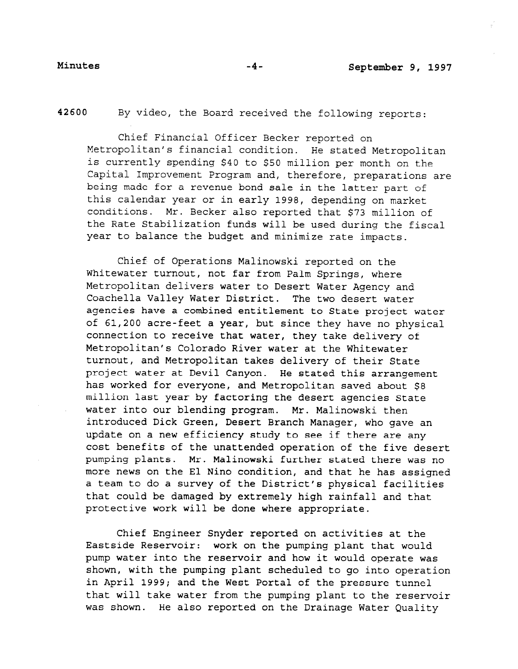42600 By video, the Board received the following reports:

Chief Financial Officer Becker reported on Metropolitan's financial condition. He stated Metropolitan is currently spending \$40 to \$50 million per month on the Capital Improvement Program and, therefore, preparations are being made for a revenue bond sale in the latter part of this calendar year or in early 1998, depending on market conditions. Mr. Becker also reported that \$73 million of the Rate Stabilization funds will be used during the fiscal year to balance the budget and minimize rate impacts.

Chief of Operations Malinowski reported on the Whitewater turnout, not far from Palm Springs, where Metropolitan delivers water to Desert Water Agency and Coachella Valley Water District. The two desert water agencies have a combined entitlement to State project water of 61,200 acre-feet a year, but since they have no physical connection to receive that water, they take delivery of Metropolitan's Colorado River water at the Whitewater turnout, and Metropolitan takes delivery of their State project water at Devil Canyon. He stated this arrangement has worked for everyone, and Metropolitan saved about \$8 million last year by factoring the desert agencies State water into our blending program. Mr. Malinowski then introduced Dick Green, Desert Branch Manager, who gave an update on a new efficiency study to see if there are any cost benefits of the unattended operation of the five desert pumping plants. Mr. Malinowski further stated there was no more news on the El Nino condition, and that he has assigned a team to do a survey of the District's physical facilities that could be damaged by extremely high rainfall and that protective work will be done where appropriate.

Chief Engineer Snyder reported on activities at the Eastside Reservoir: work on the pumping plant that would pump water into the reservoir and how it would operate was shown, with the pumping plant scheduled to go into operation in April 1999; and the West Portal of the pressure tunnel that will take water from the pumping plant to the reservoir was shown. He also reported on the Drainage Water Quality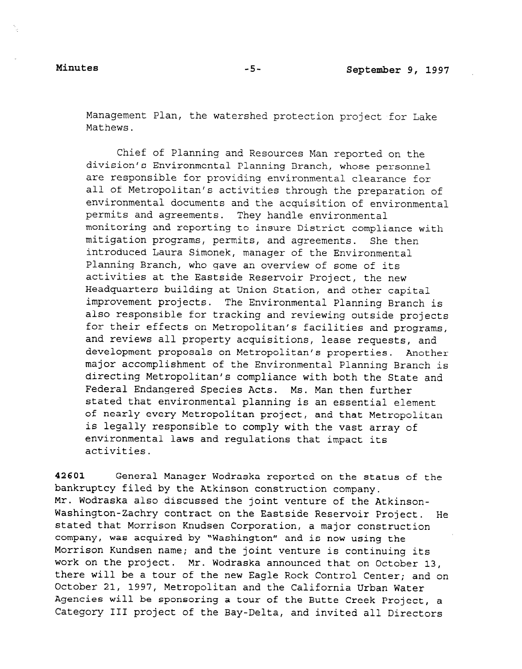Management Plan, the watershed protection project for Lake Mathews.

Chief of Planning and Resources Man reported on the division's Environmental Planning Branch, whose personnel are responsible for providing environmental clearance for all of Metropolitan's activities through the preparation of environmental documents and the acquisition of environmental permits and agreements. They handle environmental monitoring and reporting to insure District compliance with mitigation programs, permits, and agreements. She then introduced Laura Simonek, manager of the Environmental Planning Branch, who gave an overview of some of its activities at the Eastside Reservoir Project, the new Headquarters building at Union Station, and other capital improvement projects. The Environmental Planning Branch is also responsible for the morteumental reduction in the reviewing ordinal interest. arso responsible for cracking and reviewing outside project for their effects on Metropolitan's facilities and programs, and reviews all property acquisitions, lease requests, and development proposals on Metropolitan's properties. Another major accomplishment of the Environmental Planning Branch is directing Metropolitan's compliance with both the State and Federal Endangered Species Acts. Ms. Man then further stated that environmental planning is an essential element of nearly every Metropolitan project, and that Metropolitan is legally responsible to comply with the vast array of environmental laws and regulations that impact its activities.

42601 General Manager Wodraska reported on the status of the bankruptcy filed by the Atkinson construction company. Mr. Wodraska also discussed the joint venture of the Atkinson-Washington-Zachry contract on the Eastside Reservoir Project. He stated that Morrison Knudsen Corporation, a major construction company, was acquired by "Washington" and is now using the Morrison Kundsen name; and the joint venture is continuing its work on the project. Mr. Wodraska announced that on October 13, there will be a tour of the new Eagle Rock Control Center; and on October 21, 1997, Metropolitan and the California Urban Water Agencies will be sponsoring a tour of the Butte Creek Project, a Category III project of the Bay-Delta, and invited all Directors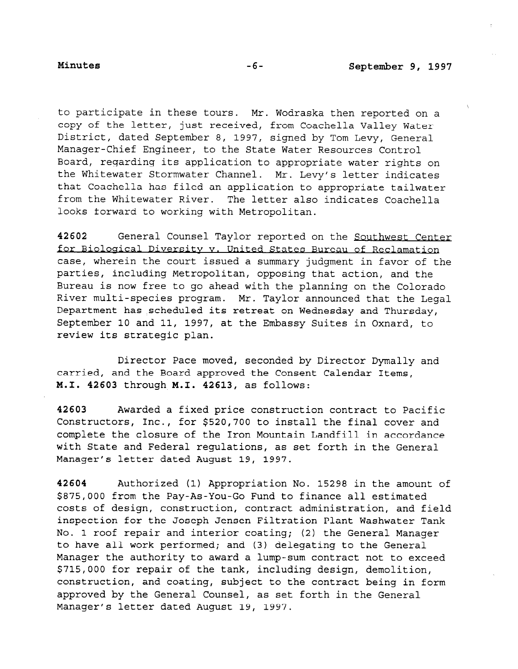to participate in these tours. Mr. Wodraska then reported on a copy of the letter, just received, from Coachella Valley Water District, dated September 8, 1997, signed by Tom Levy, General Manager-Chief Engineer, to the State Water Resources Control Board, regarding its application to appropriate water rights on the Whitewater Stormwater Channel. Mr. Levy's letter indicates that Coachella has filed an application to appropriate tailwater from the Whitewater River. The letter also indicates Coachella looks forward to working with Metropolitan.

42602 General Counsel Taylor reported on the Southwest Center for Biological Diversity v. United States Bureau of Reclamation case, wherein the court issued a summary judgment in favor of the parties, including Metropolitan, opposing that action, and the Bureau is now free to go ahead with the planning on the Colorado River multi-species program. Mr. Taylor announced that the Legal Department has scheduled its retreat on Wednesday and Thursday, September 10 and 11, 1997, at the Embassy Suites in Oxnard, to review its strategic plan.

Director Pace moved, seconded by Director Dymally and carried, and the Board approved the Consent Calendar Items, M.I. 42603 through M.I. 42613, as follows:

42603 Awarded a fixed price construction contract to Pacific Constructors, Inc., for \$520,700 to install the final cover and complete the closure of the Iron Mountain Landfill in accordance with State and Federal regulations, as set forth in the General Manager's letter dated August 19, 1997.

42604 Authorized (1) Appropriation No. 15298 in the amount of \$875,000 from the Pay-As-You-Go Fund to finance all estimated costs of design, construction, contract administration, and field inspection for the Joseph Jensen Filtration Plant Washwater Tank No. 1 roof repair and interior coating; (2) the General Manager to have all work performed; and (3) delegating to the General Manager the authority to award a lump-sum contract not to exceed \$715,000 for repair of the tank, including design, demolition, construction, and coating, subject to the contract being in form approved by the General Counsel, as set forth in the General Manager's letter dated August 19, 1997.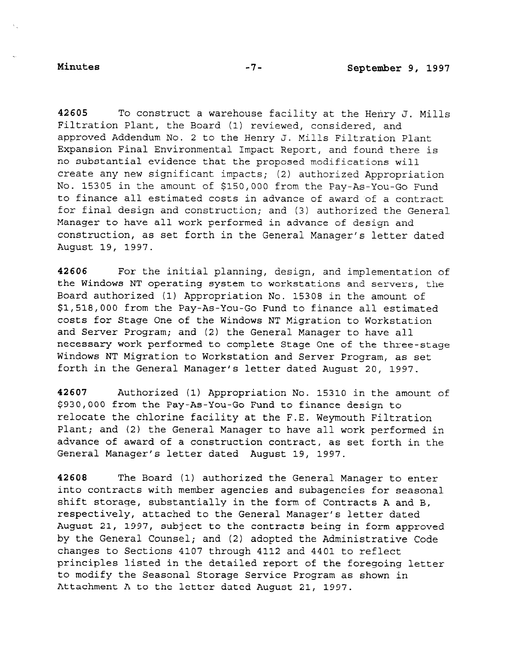42605 To construct a warehouse facility at the Henry J. Mills Filtration Plant, the Board (1) reviewed, considered, and approved Addendum No. 2 to the Henry J. Mills Filtration Plant Expansion Final Environmental Impact Report, and found there is no substantial evidence that the proposed modifications will create any new significant impacts; (2) authorized Appropriation No. 15305 in the amount of \$150,000 from the Pay-As-You-Go Fund to finance all estimated costs in advance of award of a contract for final design and construction; and (3) authorized the General Manager to have all work performed in advance of design and construction, as set forth in the General Manager's letter dated August 19, 1997.

42606 For the initial planning, design, and implementation of the Windows NT operating system to workstations and servers, the Board authorized (1) Appropriation No. 15308 in the amount of \$1,518,000 from the Pay-As-You-Go Fund to finance all estimated costs for Stage One of the Windows NT Migration to Workstation and Server Program; and (2) the General Manager to have all necessary work performed to complete Stage One of the three-stage Windows NT Migration to Workstation and Server Program, as set forth in the General Manager's letter dated August 20, 1997.

42607 Authorized (1) Appropriation No. 15310 in the amount of \$930,000 from the Pay-As-You-Go Fund to finance design to relocate the chlorine facility at the F.E. Weymouth Filtration Plant; and (2) the General Manager to have all work performed in advance of award of a construction contract, as set forth in the General Manager's letter dated August 19, 1997.

42608 The Board (1) authorized the General Manager to enter into contracts with member agencies and subagencies for seasonal shift storage, substantially in the form of Contracts A and B, respectively, attached to the General Manager's letter dated August 21, 1997, subject to the contracts being in form approved by the General Counsel; and (2) adopted the Administrative Code changes to Sections 4107 through 4112 and 4401 to reflect principles listed in the detailed report of the foregoing letter to modify the Seasonal Storage Service Program as shown in Attachment A to the letter dated August 21, 1997.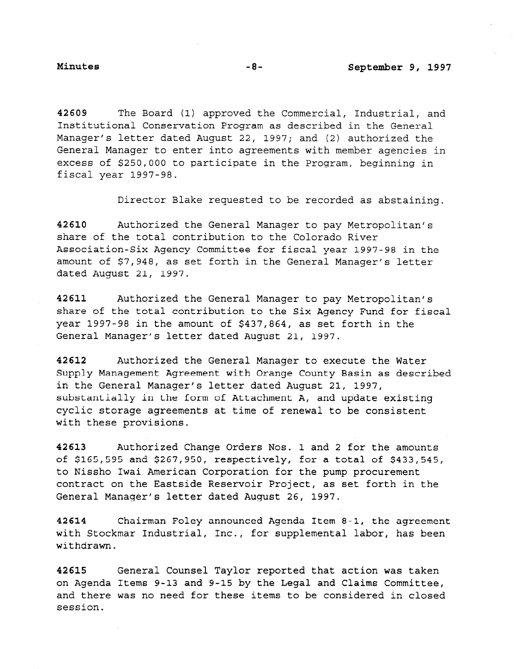42609 The Board (1) approved the Commercial, Industrial, and Institutional Conservation Program as described in the General Manager's letter dated August 22, 1997; and (2) authorized the General Manager to enter into agreements with member agencies in excess of \$250,000 to participate in the Program, beginning in fiscal year 1997-98.

Director Blake requested to be recorded as abstaining.

42610 Authorized the General Manager to pay Metropolitan's share of the total contribution to the Colorado River Association-Six Agency Committee for fiscal year 1997-98 in the amount of \$7,948, as set forth in the General Manager's letter dated August 21, 1997.

42611 Authorized the General Manager to pay Metropolitan's share of the total contribution to the Six Agency Fund for fiscal year 1997-98 in the amount of \$437,864, as set forth in the General Manager's letter dated August 21, 1997.

42612 Authorized the General Manager to execute the Water Supply Management Agreement with Orange County Basin as described in the General Manager's letter dated August 21, 1997, substantially in the form of Attachment A, and update existing cyclic storage agreements at time of renewal to be consistent with these provisions.

42613 Authorized Change Orders Nos. 1 and 2 for the amounts of \$165,595 and \$267,950, respectively, for a total of \$433,545, to Nissho Iwai American Corporation for the pump procurement contract on the Eastside Reservoir Project, as set forth in the General Manager's letter dated August 26, 1997.

42614 Chairman Foley announced Agenda Item 8-1, the agreement with Stockmar Industrial, Inc., for supplemental labor, has been withdrawn.

42615 General Counsel Taylor reported that action was taken on Agenda Items 9-13 and 9-15 by the Legal and Claims Committee, and there was no need for these items to be considered in closed session.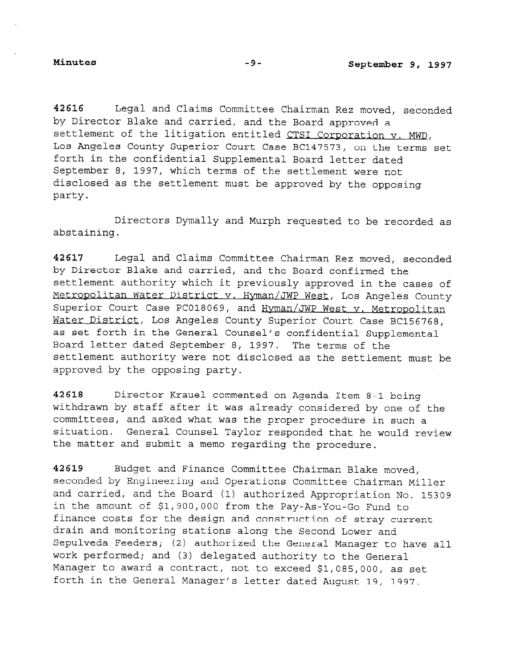42616 Legal and Claims Committee Chairman Rez moved, seconded by Director Blake and carried, and the Board approved a settlement of the litigation entitled CTSI Corporation v. MWD, Los Angeles County Superior Court Case BC147573, on the terms set forth in the confidential Supplemental Board letter dated September 8, 1997, which terms of the settlement were not disclosed as the settlement must be approved by the opposing party.

Directors Dymally and Murph requested to be recorded as abstaining.

42617 Legal and Claims Committee Chairman Rez moved, seconded by Director Blake and carried, and the Board confirmed the settlement authority which it previously approved in the cases of Metropolitan Water District v. Hyman/JWP West, Los Angeles County Superior Court Case PC018069, and Hyman/JWP West v. Metropolitan Water District, Los Angeles County Superior Court Case BC156768. as set forth in the General Counsel's confidential Supplemental Board letter dated September 8, 1997. The terms of the settlement authority were not disclosed as the settlement must be approved by the opposing party.

42618 Director Krauel commented on Agenda Item 8-1 being withdrawn by staff after it was already considered by one of the committees, and asked what was the proper procedure in such a situation. General Counsel Taylor responded that he would review the matter and submit a memo regarding the procedure.

42619 Budget and Finance Committee Chairman Blake moved, seconded by Engineering and Operations Committee Chairman Miller and carried, and the Board (1) authorized Appropriation No. 15309 in the amount of \$1,900,000 from the Pay-As-You-Go Fund to finance costs for the design and construction of stray current drain and monitoring stations along the Second Lower and Sepulveda Feeders; (2) authorized the General Manager to have all work performed; and (3) delegated authority to the General Moth performed, and (3) acregated additing to the general forth in the General Manager Conduct in the General August 1997.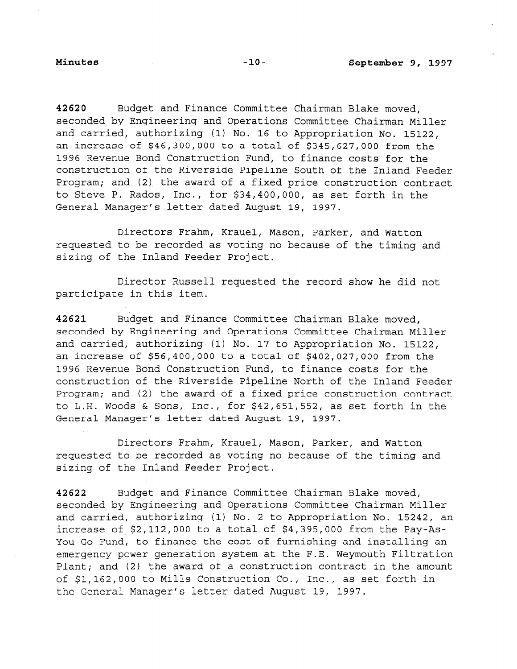42620 Budget and Finance Committee Chairman Blake moved, seconded by Engineering and Operations Committee Chairman Miller and carried, authorizing (1) No. 16 to Appropriation No. 15122, an increase of \$46,300,000 to a total of \$345,627,000 from the 1996 Revenue Bond Construction Fund, to finance costs for the construction of the Riverside Pipeline South of the Inland Feeder Program; and (2) the award of a fixed price construction contract to Steve P. Rados, Inc., for \$34,400,000, as set forth in the General Manager's letter dated August 19, 1997.

Directors Frahm, Krauel, Mason, Parker, and Watton requested to be recorded as voting no because of the timing and sizing of the Inland Feeder Project.

Director Russell requested the record show he did not participate in this item.

42621 Budget and Finance Committee Chairman Blake moved, seconded by Engineering and Operations Committee Chairman Miller and carried, authorizing (1) No. 17 to Appropriation No. 15122, an increase of \$56,400,000 to a total of \$402,027,000 from the 1996 Revenue Bond Construction Fund, to finance costs for the construction of the Riverside Pipeline North of the Inland Feeder Program; and (2) the award of a fixed price construction contract to L.H. Woods & Sons, Inc., for \$42,651,552, as set forth in the General Manager's letter dated August 19, 1997.

Directors Frahm, Krauel, Mason, Parker, and Watton requested to be recorded as voting no because of the timing and sizing of the Inland Feeder Project.

42622 Budget and Finance Committee Chairman Blake moved, seconded by Engineering and Operations Committee Chairman Miller and carried, authorizing (1) No. 2 to Appropriation No. 15242, an increase of \$2,112,000 to a total of \$4,395,000 from the Pay-As-You-Go Fund, to finance the cost of furnishing and installing an emergency power generation system at the F.E. Weymouth Filtration Plant; and (2) the award of a construction contract in the amount of \$1,162,000 to Mills Construction Co., Inc., as set forth in the General Manager's letter dated August 19, 1997.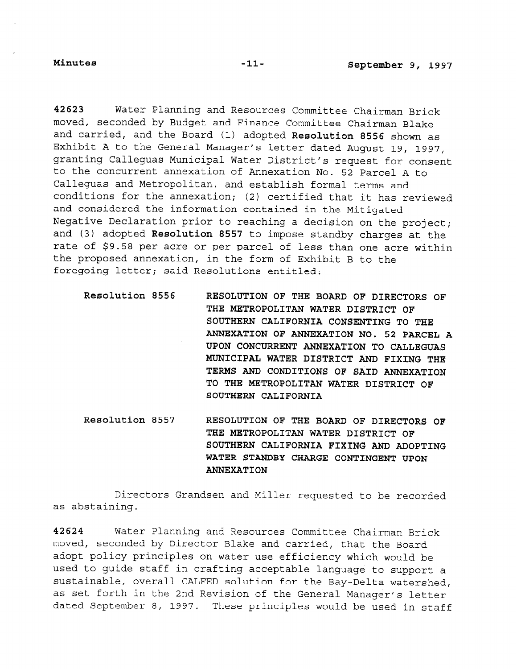42623 Water Planning and Resources Committee Chairman Brick moved, seconded by Budget and Finance Committee Chairman Blake and carried, and the Board (1) adopted Resolution 8556 shown as Exhibit A to the General Manager's letter dated August 19, 1997, granting Calleguas Municipal Water District's request for consent to the concurrent annexation of Annexation No. 52 Parcel A to Calleguas and Metropolitan, and establish formal terms and conditions for the annexation; (2) certified that it has reviewed and considered the information contained in the Mitigated Negative Declaration prior to reaching a decision on the project; and (3) adopted Resolution 8557 to impose standby charges at the rate of \$9.58 per acre or per parcel of less than one acre within the proposed annexation, in the form of Exhibit B to the foregoing letter; said Resolutions entitled:

- Resolution 8556 RESOLUTION OF THE BOARD OF DIRECTORS OF THE METROPOLITAN WATER DISTRICT OF SOUTHERN CALIFORNIA CONSENTING TO THE ANNEXATION OF ANNEXATION NO. 52 PARCEL A UPON CONCURRENT ANNEXATION TO CALLEGUAS MUNICIPAL WATER DISTRICT AND FIXING THE TERMS AND CONDITIONS OF SAID ANNEXATION TO THE METROPOLITAN WATER DISTRICT OF SOUTHERN CALIFORNIA
- Resolution 8557 RESOLUTION OF THE BOARD OF DIRECTORS OF THE METROPOLITAN WATER DISTRICT OF SOUTHERN CALIFORNIA FIXING AND ADOPTING WATER STANDBY CHARGE CONTINGENT UPON ANNEXATION

Directors Grandsen and Miller requested to be recorded as abstaining.

42624 Water Planning and Resources Committee Chairman Brick moved, seconded by Director Blake and carried, that the Board adopt policy principles on water use efficiency which would be adope portoj principios on water use erritency which would be sustative sustainable, overall complete solution in the Bay-Delta watershed, watershed, and the Bay-Delta watershed, and the Bay-Delta watershed, and the Bay-Delta watershed, and the Bay-Delta watershed, and the Bay-Delta sustainable, overall CALFED solution for the Bay-Delta watershed,<br>as set forth in the 2nd Revision of the General Manager's letter dated September 8, 1997. These principles would be used in staff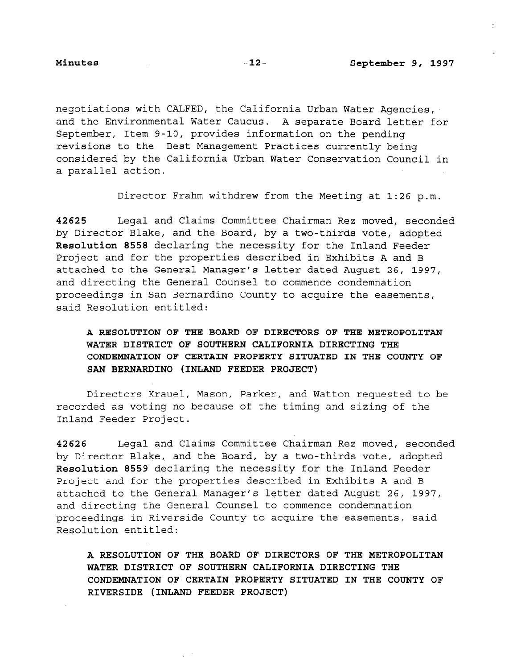÷.

negotiations with CALFED, the California Urban Water Agencies, and the Environmental Water Caucus. A separate Board letter for September, Item 9-10, provides information on the pending revisions to the Best Management Practices currently being considered by the California Urban Water Conservation Council in a parallel action.

Director Frahm withdrew from the Meeting at 1:26 p.m.

42625 Legal and Claims Committee Chairman Rez moved, seconded by Director Blake, and the Board, by a two-thirds vote, adopted Resolution 8558 declaring the necessity for the Inland Feeder Project and for the properties described in Exhibits A and B attached to the General Manager's letter dated August 26, 1997, and directing the General Counsel to commence condemnation proceedings in San Bernardino County to acquire the easements, said Resolution entitled:

# A RESOLUTION OF THE BOARD OF DIRECTORS OF THE METROPOLITAN WATER DISTRICT OF SOUTHERN CALIFORNIA DIRECTING THE CONDEMNATION OF CERTAIN PROPERTY SITUATED IN THE COUNTY OF SAN BERNARDINO (INLAND FEEDER PROJECT)

Directors Krauel, Mason, Parker, and Watton requested to be recorded as voting no because of the timing and sizing of the Inland Feeder Project.

42626 Legal and Claims Committee Chairman Rez moved, seconded by Director Blake, and the Board, by a two-thirds vote, adopted Resolution 8559 declaring the necessity for the Inland Feeder Project and for the properties described in Exhibits A and B attached to the General Manager's letter dated August 26, 1997, and directing the General Counsel to commence condemnation proceedings in Riverside County to acquire the easements, said Resolution entitled:

A RESOLUTION OF THE BOARD OF DIRECTORS OF THE METROPOLITAN WATER DISTRICT OF SOUTHERN CALIFORNIA DIRECTING THE CONDEMNATION OF CERTAIN PROPERTY SITUATED IN THE COUNTY OF RIVERSIDE (INLAND FEEDER PROJECT)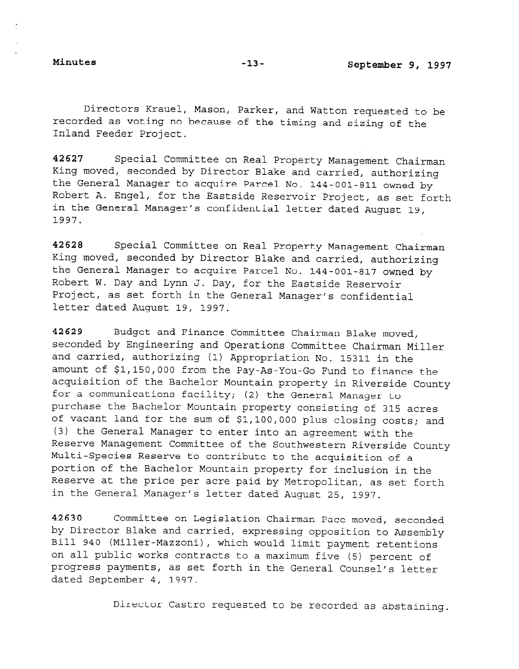Directors Krauel, Mason, Parker, and Watton requested to be recorded as voting no because of the timing and sizing of the Inland Feeder Project.

42627 Special Committee on Real Property Management Chairman King moved, seconded by Director Blake and carried, authorizing the General Manager to acquire Parcel No. 144-001-811 owned by Robert A. Engel, for the Eastside Reservoir Project, as set forth in the General Manager's confidential letter dated August 19, 1997.

42628 Special Committee on Real Property Management Chairman King moved, seconded by Director Blake and carried, authorizing the General Manager to acquire Parcel No. 144-001-817 owned by Robert W. Day and Lynn J. Day, for the Eastside Reservoir Project, as set forth in the General Manager's confidential letter dated August 19, 1997.

42629 Budget and Finance Committee Chairman Blake moved, seconded by Engineering and Operations Committee Chairman Miller and carried, authorizing (1) Appropriation No. 15311 in the amount of \$1,150,000 from the Pay-As-You-Go Fund to finance the acquisition of the Bachelor Mountain property in Riverside County for a communications facility; (2) the General Manager to purchase the Bachelor Mountain property consisting of 315 acres of vacant land for the sum of \$l,lOO,OOO plus closing costs; and (3) the General Manager to enter into an agreement with the Reserve Management Committee of the Southwestern Riverside County Multi-Species Reserve to contribute to the acquisition of a portion of the Bachelor Mountain property for inclusion in the Reserve at the price per acre paid by Metropolitan, as set forth in the General Manager's letter dated August 25, 1997.

42630 Committee on Legislation Chairman Pace moved, seconded by Director Blake and carried, expressing opposition to Assembly Bill 940 (Miller-Mazzoni), which would limit payment retentions on all public works contracts to a maximum five (5) percent of progress payments, as set forth in the General Counsel's letter dated September 4, 1997.

Director Castro requested to be recorded as abstaining.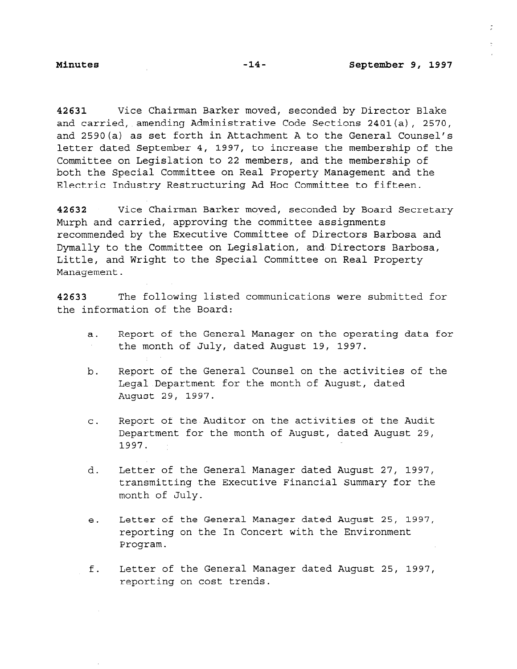$\mathbf{r}$ 

42631 Vice Chairman Barker moved, seconded by Director Blake and carried, amending Administrative Code Sections 2401(a), 2570, and 2590(a) as set forth in Attachment A to the General Counsel's letter dated September 4, 1997, to increase the membership of the Committee on Legislation to 22 members, and the membership of both the Special Committee on Real Property Management and the Electric Industry Restructuring Ad Hoc Committee to fifteen.

42632 Vice Chairman Barker moved, seconded by Board Secretary Murph and carried, approving the committee assignments recommended by the Executive Committee of Directors Barbosa and Dymally to the Committee on Legislation, and Directors Barbosa, Little, and Wright to the Special Committee on Real Property Management.

42633 The following listed communications were submitted for the information of the Board:

- a. Report of the General Manager on the operating data for the month of July, dated August 19, 1997.  $\sim$
- b. Report of the General Counsel on the activities of the Legal Department for the month of August, dated August 29, 1997.
- C. Report of the Auditor on the activities of the Audit Department for the month of August, dated August 29, 1997.
- d. Letter of the General Manager dated August 27, 1997, transmitting the Executive Financial Summary for the month of July.
- e. Letter of the General Manager dated August 25, 1997, reporting on the In Concert with the Environment Program.
- f. Letter of the General Manager dated August 25, 1997, reporting on cost trends.